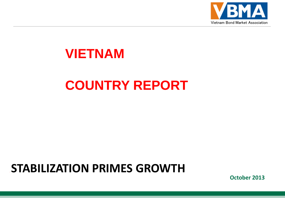

## **VIETNAM**

# **COUNTRY REPORT**

# **STABILIZATION PRIMES GROWTH**

**October 2013**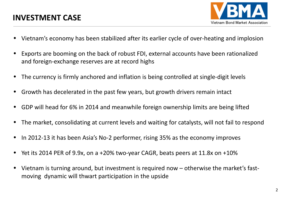

- Vietnam's economy has been stabilized after its earlier cycle of over-heating and implosion
- Exports are booming on the back of robust FDI, external accounts have been rationalized and foreign-exchange reserves are at record highs
- The currency is firmly anchored and inflation is being controlled at single-digit levels
- Growth has decelerated in the past few years, but growth drivers remain intact
- GDP will head for 6% in 2014 and meanwhile foreign ownership limits are being lifted
- The market, consolidating at current levels and waiting for catalysts, will not fail to respond
- In 2012-13 it has been Asia's No-2 performer, rising 35% as the economy improves
- Yet its 2014 PER of 9.9x, on a +20% two-year CAGR, beats peers at 11.8x on +10%
- Vietnam is turning around, but investment is required now otherwise the market's fastmoving dynamic will thwart participation in the upside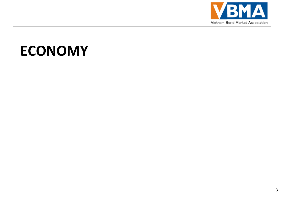

# **ECONOMY**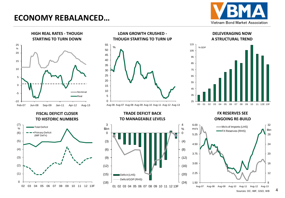## **ECONOMY REBALANCED…**





#### **LOAN GROWTH CRUSHED - THOUGH STARTING TO TURN UP**



#### **DELEVERAGING NOW A STRUCTURAL TREND**



#### **FISCAL DEFICIT CLOSER TO HISTORIC NUMBERS**







#### **FX RESERVES SEE ONGOING RE-BUILD**

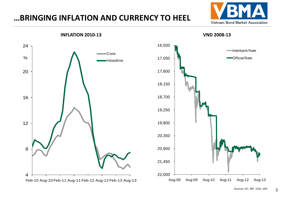## **…BRINGING INFLATION AND CURRENCY TO HEEL**





Sources: DC, IMF, GSO, WB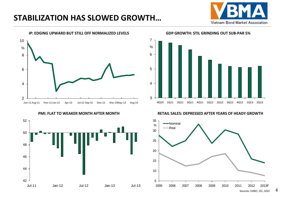## **STABILIZATION HAS SLOWED GROWTH…**







**GDP GROWTH: STIL GRINDING OUT SUB-PAR 5%**



**PMI: FLAT TO WEAKER MONTH AFTER MONTH RETAIL SALES: DEPRESSED AFTER YEARS OF HEADY GROWTH**

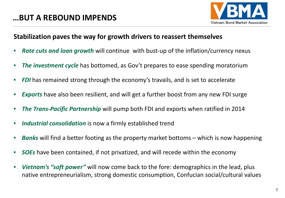

#### **Stabilization paves the way for growth drivers to reassert themselves**

- *Rate cuts and loan growth* will continue with bust-up of the inflation/currency nexus
- *The investment cycle* has bottomed, as Gov't prepares to ease spending moratorium
- **FDI** has remained strong through the economy's travails, and is set to accelerate
- *Exports* have also been resilient, and will get a further boost from any new FDI surge
- *The Trans-Pacific Partnership* will pump both FDI and exports when ratified in 2014
- *Industrial consolidation* is now a firmly established trend
- *Banks* will find a better footing as the property market bottoms which is now happening
- *SOEs* have been contained, if not privatized, and will recede within the economy
- *Vietnam's "soft power"* will now come back to the fore: demographics in the lead, plus native entrepreneurialism, strong domestic consumption, Confucian social/cultural values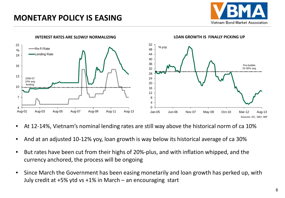## **MONETARY POLICY IS EASING**





- At 12-14%, Vietnam's nominal lending rates are still way above the historical norm of ca 10%
- And at an adjusted 10-12% yoy, loan growth is way below its historical average of ca 30%
- But rates have been cut from their highs of 20%-plus, and with inflation whipped, and the currency anchored, the process will be ongoing
- Since March the Government has been easing monetarily and loan growth has perked up, with July credit at +5% ytd vs +1% in March – an encouraging start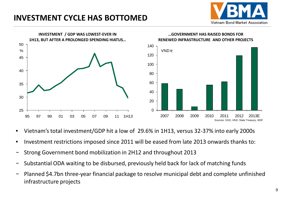## **INVESTMENT CYCLE HAS BOTTOMED**





- Vietnam's total investment/GDP hit a low of 29.6% in 1H13, versus 32-37% into early 2000s
- Investment restrictions imposed since 2011 will be eased from late 2013 onwards thanks to:
- − Strong Government bond mobilization in 2H12 and throughout 2013
- Substantial ODA waiting to be disbursed, previously held back for lack of matching funds
- − Planned \$4.7bn three-year financial package to resolve municipal debt and complete unfinished infrastructure projects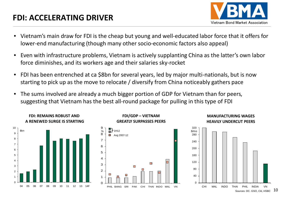## **FDI: ACCELERATING DRIVER**



- Vietnam's main draw for FDI is the cheap but young and well-educated labor force that it offers for lower-end manufacturing (though many other socio-economic factors also appeal)
- Even with infrastructure problems, Vietnam is actively supplanting China as the latter's own labor force diminishes, and its workers age and their salaries sky-rocket
- FDI has been entrenched at ca \$8bn for several years, led by major multi-nationals, but is now starting to pick up as the move to relocate / diversify from China noticeably gathers pace
- The sums involved are already a much bigger portion of GDP for Vietnam than for peers, suggesting that Vietnam has the best all-round package for pulling in this type of FDI

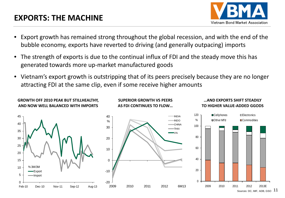## **EXPORTS: THE MACHINE**

**GROWTH OFF 2010 PEAK BUT STILLHEALTHY,**



**…AND EXPORTS SHIFT STEADILY** 

- Export growth has remained strong throughout the global recession, and with the end of the bubble economy, exports have reverted to driving (and generally outpacing) imports
- The strength of exports is due to the continual influx of FDI and the steady move this has generated towards more up-market manufactured goods
- Vietnam's export growth is outstripping that of its peers precisely because they are no longer attracting FDI at the same clip, even if some receive higher amounts

**SUPERIOR GROWTH VS PEERS** 

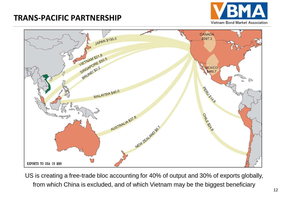## **TRANS-PACIFIC PARTNERSHIP**





US is creating a free-trade bloc accounting for 40% of output and 30% of exports globally, from which China is excluded, and of which Vietnam may be the biggest beneficiary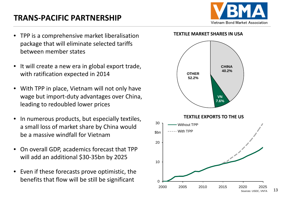## **TRANS-PACIFIC PARTNERSHIP**



- TPP is a comprehensive market liberalisation package that will eliminate selected tariffs between member states
- It will create a new era in global export trade, with ratification expected in 2014
- With TPP in place, Vietnam will not only have wage but import-duty advantages over China, leading to redoubled lower prices
- In numerous products, but especially textiles, a small loss of market share by China would be a massive windfall for Vietnam
- On overall GDP, academics forecast that TPP will add an additional \$30-35bn by 2025
- Even if these forecasts prove optimistic, the benefits that flow will be still be significant

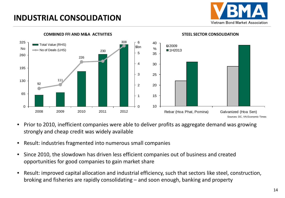## **INDUSTRIAL CONSOLIDATION**





#### **COMBINED FFI AND M&A ACTIVITIES STEEL SECTOR CONSOLIDATION**

- Prior to 2010, inefficient companies were able to deliver profits as aggregate demand was growing strongly and cheap credit was widely available
- Result: industries fragmented into numerous small companies
- Since 2010, the slowdown has driven less efficient companies out of business and created opportunities for good companies to gain market share
- Result: improved capital allocation and industrial efficiency, such that sectors like steel, construction, broking and fisheries are rapidly consolidating – and soon enough, banking and property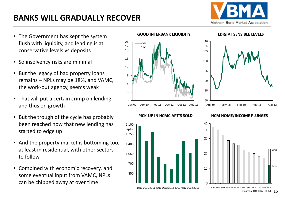## **BANKS WILL GRADUALLY RECOVER**

Vietnam Bond Market Association

- The Government has kept the system flush with liquidity, and lending is at conservative levels vs deposits
- So insolvency risks are minimal
- But the legacy of bad property loans remains - NPLs may be 18%, and VAMC, the work-out agency, seems weak
- That will put a certain crimp on lending and thus on growth
- But the trough of the cycle has probably been reached now that new lending has started to edge up
- And the property market is bottoming too, at least in residential, with other sectors to follow
- Combined with economic recovery, and some eventual input from VAMC, NPLs can be chipped away at over time



# **LDRs AT SENSIBLE LEVELS**







Sources: DC, SBV, CBRE 15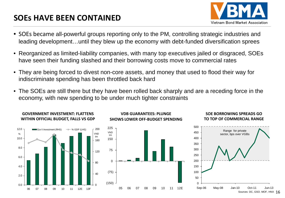## **SOEs HAVE BEEN CONTAINED**

**GOVERNMENT INVESTMENT: FLATTENS** 



- SOEs became all-powerful groups reporting only to the PM, controlling strategic industries and leading development…until they blew up the economy with debt-funded diversification sprees
- Reorganized as limited-liability companies, with many top executives jailed or disgraced, SOEs have seen their funding slashed and their borrowing costs move to commercial rates
- They are being forced to divest non-core assets, and money that used to flood their way for indiscriminate spending has been throttled back hard
- The SOEs are still there but they have been rolled back sharply and are a receding force in the economy, with new spending to be under much tighter constraints



#### **VDB GUARANTEES: PLUNGE SHOWS LOWER OFF-BUDGET SPENDING**

#### **SOE BORROWING SPREADS GO TO TOP OF COMMERCIAL RANGE**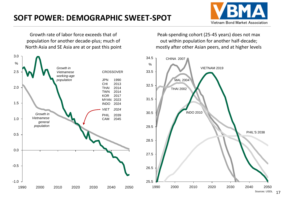## **SOFT POWER: DEMOGRAPHIC SWEET-SPOT**



Growth rate of labor force exceeds that of population for another decade-plus; much of North Asia and SE Asia are at or past this point

Peak-spending cohort (25-45 years) does not max out within population for another half-decade; mostly after other Asian peers, and at higher levels



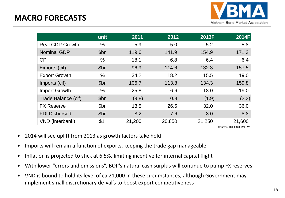

|                        | unit | 2011   | 2012   | 2013F  | 2014F  |
|------------------------|------|--------|--------|--------|--------|
| <b>Real GDP Growth</b> | $\%$ | 5.9    | 5.0    | 5.2    | 5.8    |
| <b>Nominal GDP</b>     | \$bn | 119.6  | 141.9  | 154.9  | 171.3  |
| <b>CPI</b>             | %    | 18.1   | 6.8    | 6.4    | 6.4    |
| Exports (cif)          | \$bn | 96.9   | 114.6  | 132.3  | 157.5  |
| <b>Export Growth</b>   | %    | 34.2   | 18.2   | 15.5   | 19.0   |
| Imports (cif)          | \$bn | 106.7  | 113.8  | 134.3  | 159.8  |
| <b>Import Growth</b>   | $\%$ | 25.8   | 6.6    | 18.0   | 19.0   |
| Trade Balance (cif)    | \$bn | (9.8)  | 0.8    | (1.9)  | (2.3)  |
| <b>FX Reserve</b>      | \$bn | 13.5   | 26.5   | 32.0   | 36.0   |
| <b>FDI Disbursed</b>   | \$bn | 8.2    | 7.6    | 8.0    | 8.8    |
| VND (interbank)        | \$1  | 21,200 | 20,850 | 21,250 | 21,600 |

Sources: DC, GSO, IMF, WB

- 2014 will see uplift from 2013 as growth factors take hold
- Imports will remain a function of exports, keeping the trade gap manageable
- Inflation is projected to stick at 6.5%, limiting incentive for internal capital flight
- With lower "errors and omissions", BOP's natural cash surplus will continue to pump FX reserves
- VND is bound to hold its level of ca 21,000 in these circumstances, although Government may implement small discretionary de-val's to boost export competitiveness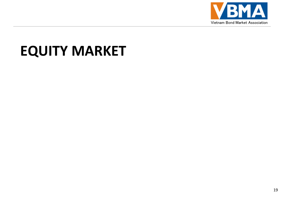

# **EQUITY MARKET**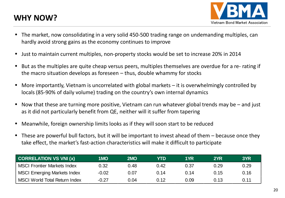## **WHY NOW?**



- The market, now consolidating in a very solid 450-500 trading range on undemanding multiples, can hardly avoid strong gains as the economy continues to improve
- Just to maintain current multiples, non-property stocks would be set to increase 20% in 2014
- But as the multiples are quite cheap versus peers, multiples themselves are overdue for a re- rating if the macro situation develops as foreseen – thus, double whammy for stocks
- More importantly, Vietnam is uncorrelated with global markets it is overwhelmingly controlled by locals (85-90% of daily volume) trading on the country's own internal dynamics
- Now that these are turning more positive, Vietnam can run whatever global trends may be and just as it did not particularly benefit from QE, neither will it suffer from tapering
- Meanwhile, foreign ownership limits looks as if they will soon start to be reduced
- These are powerful bull factors, but it will be important to invest ahead of them because once they take effect, the market's fast-action characteristics will make it difficult to participate

| <b>CORRELATION VS VNI (x)</b>        | 1 MO    | 2MO  | YTD  | 1YR  | 2YR  | 3YR  |
|--------------------------------------|---------|------|------|------|------|------|
| <b>MSCI Frontier Markets Index</b>   | 0.32    | 0.48 | 0.42 | 0.37 | 0.29 | 0.29 |
| <b>MSCI Emerging Markets Index</b>   | $-0.02$ | 0.07 | 0.14 | 0.14 | 0.15 | 0.16 |
| <b>MSCI World Total Return Index</b> | $-0.27$ | 0.04 | 0.12 | 0.09 | 0.13 | 0.11 |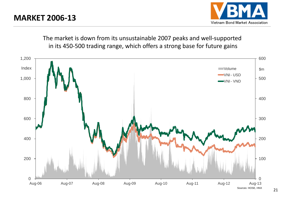

The market is down from its unsustainable 2007 peaks and well-supported in its 450-500 trading range, which offers a strong base for future gains

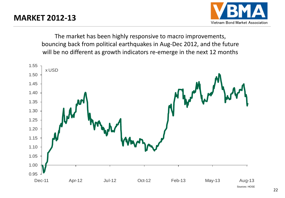

The market has been highly responsive to macro improvements, bouncing back from political earthquakes in Aug-Dec 2012, and the future will be no different as growth indicators re-emerge in the next 12 months

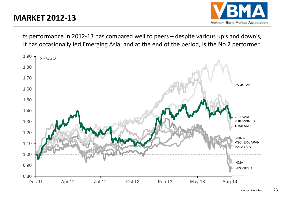

Its performance in 2012-13 has compared well to peers – despite various up's and down's, it has occasionally led Emerging Asia, and at the end of the period, is the No 2 performer

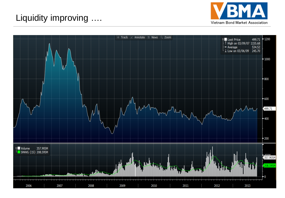

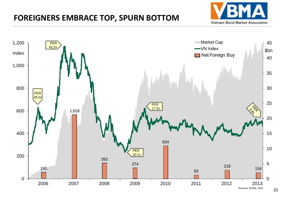#### **FOREIGNERS EMBRACE TOP, SPURN BOTTOM**



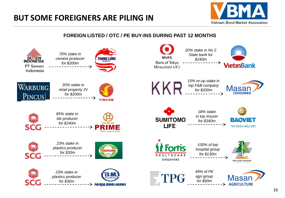

#### **FOREIGN LISTED / OTC / PE BUY-INS DURING PAST 12 MONTHS**

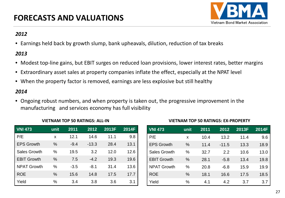

#### *2012*

• Earnings held back by growth slump, bank upheavals, dilution, reduction of tax breaks

#### *2013*

- Modest top-line gains, but EBIT surges on reduced loan provisions, lower interest rates, better margins
- Extraordinary asset sales at property companies inflate the effect, especially at the NPAT level
- When the property factor is removed, earnings are less explosive but still healthy

#### *2014*

• Ongoing robust numbers, and when property is taken out, the progressive improvement in the manufacturing and services economy has full visibility

| <b>VNI 473</b>      | unit          | 2011   | 2012    | 2013F | 2014F |
|---------------------|---------------|--------|---------|-------|-------|
| P/E                 | x             | 12.1   | 14.6    | 11.1  | 9.8   |
| <b>EPS Growth</b>   | $\%$          | $-9.4$ | $-13.3$ | 28.4  | 13.1  |
| <b>Sales Growth</b> | $\%$          | 19.5   | 3.2     | 12.0  | 12.6  |
| <b>EBIT Growth</b>  | $\frac{0}{0}$ | 7.5    | $-4.2$  | 19.3  | 19.6  |
| <b>NPAT Growth</b>  | $\%$          | $-3.5$ | $-8.1$  | 31.4  | 13.6  |
| <b>ROE</b>          | $\%$          | 15.6   | 14.8    | 17.5  | 17.7  |
| Yield               | $\%$          | 3.4    | 3.8     | 3.6   | 3.1   |

#### **VIETNAM TOP 50 RATINGS: ALL-IN**

| <b>VNI 473</b>      | unit | 2011 | 2012    | 2013F | 2014F |
|---------------------|------|------|---------|-------|-------|
| P/E                 | X    | 10.4 | 13.2    | 11.4  | 9.6   |
| <b>EPS Growth</b>   | $\%$ | 11.4 | $-11.5$ | 13.3  | 18.9  |
| <b>Sales Growth</b> | %    | 32.7 | 2.2     | 10.6  | 13.0  |
| <b>EBIT Growth</b>  | $\%$ | 28.1 | $-5.8$  | 13.4  | 19.8  |
| <b>NPAT Growth</b>  | $\%$ | 20.8 | $-6.8$  | 15.9  | 19.9  |
| <b>ROE</b>          | $\%$ | 18.1 | 16.6    | 17.5  | 18.5  |
| Yield               | $\%$ | 4.1  | 4.2     | 3.7   | 3.7   |

#### **VIETNAM TOP 50 RATINGS: EX-PROPERTY**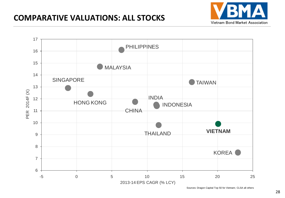### **COMPARATIVE VALUATIONS: ALL STOCKS**



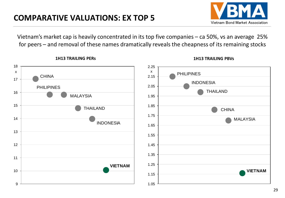

MALAYSIA

**VIETNAM**

Vietnam's market cap is heavily concentrated in its top five companies – ca 50%, vs an average 25% for peers – and removal of these names dramatically reveals the cheapness of its remaining stocks



#### **1H13 TRAILING PERs 1H13 TRAILING PBVs**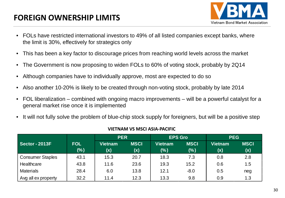## **FOREIGN OWNERSHIP LIMITS**



- FOLs have restricted international investors to 49% of all listed companies except banks, where the limit is 30%, effectively for strategics only
- This has been a key factor to discourage prices from reaching world levels across the market
- The Government is now proposing to widen FOLs to 60% of voting stock, probably by 2Q14
- Although companies have to individually approve, most are expected to do so
- Also another 10-20% is likely to be created through non-voting stock, probably by late 2014
- FOL liberalization combined with ongoing macro improvements will be a powerful catalyst for a general market rise once it is implemented
- It will not fully solve the problem of blue-chip stock supply for foreigners, but will be a positive step

|                         |            | <b>PER</b>     |             | <b>EPS Gro</b> |             | <b>PEG</b>     |             |  |
|-------------------------|------------|----------------|-------------|----------------|-------------|----------------|-------------|--|
| Sector - 2013F          | <b>FOL</b> | <b>Vietnam</b> | <b>MSCI</b> | <b>Vietnam</b> | <b>MSCI</b> | <b>Vietnam</b> | <b>MSCI</b> |  |
|                         | (%)        | (x)            | (x)         | (% )           | (%)         | (x)            | (x)         |  |
| <b>Consumer Staples</b> | 43.1       | 15.3           | 20.7        | 18.3           | 7.3         | 0.8            | 2.8         |  |
| Healthcare              | 43.8       | 11.6           | 23.6        | 19.3           | 15.2        | 0.6            | 1.5         |  |
| <b>Materials</b>        | 28.4       | 6.0            | 13.8        | 12.1           | $-8.0$      | 0.5            | neg         |  |
| Avg all ex property     | 32.2       | 11.4           | 12.3        | 13.3           | 9.8         | 0.9            | 1.3         |  |

#### **VIETNAM VS MSCI ASIA-PACIFIC**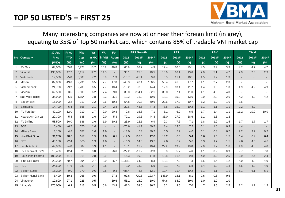

#### Many interesting companies are now at or near their foreign limit (in grey), equating to 35% of Top 50 market cap, which contains 85% of tradable VNI market cap

|                |                      | 30-Aug       | <b>Price</b> | <b>Mkt</b> | Wt    | Wt     | For                      |         | <b>EPS Growth</b> |         |       | <b>PER</b> |       |      | <b>PBV</b> |       |      | Yield  |       |
|----------------|----------------------|--------------|--------------|------------|-------|--------|--------------------------|---------|-------------------|---------|-------|------------|-------|------|------------|-------|------|--------|-------|
|                | No Company           | <b>Price</b> | <b>YTD</b>   | Cap        | in MC | in VNI | <b>Room</b>              | 2012    | 2013F             | 2014F   | 2012  | 2013F      | 2014F | 2012 | 2013F      | 2014F | 2012 | 2013F  | 2014F |
|                |                      | (VND)        | $(\%)$       | (Sm)       | (%)   | (%)    | (%)                      | $(\%)$  | $(\%)$            | (%)     | (x)   | (x)        | (x)   | (x)  | (x)        | (x)   | (%)  | $(\%)$ | (%)   |
| $\overline{1}$ | PV Gas               | 64,000       | 65.8         | 5,728      | 13.7  | 16.2   | 46.8                     | 65.9    | 16.7              | 4.9     | 12.4  | 10.6       | 10.1  | 4.5  | 3.9        | 3.9   | 4.7  | 4.7    | 4.7   |
| $\sqrt{2}$     | Vinamilk             | 130,000      | 47.7         | 5,117      | 12.2  | 14.5   | $\overline{\phantom{a}}$ | 35.1    | 15.8              | 18.5    | 18.6  | 16.1       | 13.6  | 7.0  | 5.1        | 4.2   | 2.9  | 2.3    | 2.3   |
| 3              | Vietinbank           | 19,500       | $-5.8$       | 3,008      | 7.2   | 3.0    | 1.3                      | $-10.7$ | $-25.1$           | 9.6     | 8.3   | 11.1       | 10.1  | 1.5  | 1.2        | 1.3   |      |        |       |
| 4              | Masan                | 82,000       | $-19.6$      | 2,731      | 6.5   | 7.7    | 17.8                     | $-40.3$ | 20.4              | 136.5   | 50.4  | 41.8       | 17.7  | 4.1  | 2.7        | 2.3   |      |        |       |
| 5              | Vietcombank          | 24,700       | $-9.2$       | 2,703      | 6.5   | 7.7    | 10.4                     | $-10.2$ | $-3.5$            | 14.4    | 12.9  | 13.4       | 11.7  | 1.4  | 1.3        | 1.3   | 4.9  | 4.9    | 4.9   |
| 6              | Vincom               | 62,500       | 3.5          | 2,605      | 6.2   | 7.4    | 9.0                      | 38.0    | 384.1             | $-32.1$ | 36.0  | 7.4        | 11.0  | 4.1  | 4.0        | 4.0   |      |        |       |
| $\overline{7}$ | Bao Viet Holding     | 35,900       | $-6.5$       | 1,154      | 2.8   | 3.3    | 25.1                     | 12.2    | 21.0              | 10.0    | 18.1  | 15.0       | 13.6  | 2.0  | 2.0        | 2.0   | 4.2  | 4.2    | 4.2   |
| 8              | Sacombank            | 16,900       | $-3.2$       | 912        | 2.2   | 2.6    | 10.3                     | $-54.8$ | 20.3              | 60.6    | 20.6  | 17.2       | 10.7  | 1.2  | 1.2        | 1.0   | 3.6  |        |       |
| 9              | Eximbank             | 14,700       | $-6.4$       | 858        | 2.1   | 2.4    | 2.8                      | $-29.6$ | $-43.5$           | 47.3    | 8.5   | 15.0       | 10.2  | 1.1  | 1.1        | 1.1   | 9.2  | 4.0    |       |
| 10             | <b>PV</b> Fertilizer | 40,100       | 12.0         | 719        | 1.7   | 2.0    | 20.8                     | $-2.8$  | $-15.8$           | $-7.1$  | 5.1   | 6.0        | 6.5   | 1.7  | 1.4        | 1.1   | 11.2 | 10.0   | 10.0  |
| 11             | Hoang Anh Gia Lai    | 20,300       | 5.4          | 688        | 1.6   | 2.0    | 5.3                      | $-70.1$ | 29.5              | 44.8    | 35.0  | 27.0       | 18.6  | 1.1  | 1.3        | 1.2   |      |        |       |
| 12             | PV Drilling          | 58,500       | 56.0         | 686        | 1.6   | 1.9    | 10.2                     | 23.9    | 22.1              | 6.9     | 9.3   | 7.6        | 7.1   | 1.8  | 1.9        | 1.5   | 1.7  | 1.7    | 1.7   |
| 13             | <b>ACB</b>           | 15,400       | $-6.7$       | 670        | 1.6   |        |                          | $-75.6$ | 41.7              | 80.5    | 18.4  | 13.0       | 7.2   | 1.1  | 1.0        | 0.9   | 4.4  |        |       |
| 14             | <b>Military Bank</b> | 13,100       | 4.8          | 657        | 1.6   | 1.9    | $\sim$                   | $-13.0$ | 5.3               | 30.2    | 5.5   | 5.2        | 4.0   | 1.1  | 0.8        | 0.7   | 9.2  | 9.2    | 9.2   |
| 15             | Hoa Phat Group       | 31,200       | 48.6         | 617        | 1.5   | 1.8    | 6.1                      | $-19.5$ | 118.6             | 12.0    | 13.2  | 6.0        | 5.4   | 1.6  | 1.5        | 1.5   | 6.4  | 6.4    | 6.4   |
| 16             | <b>FPT</b>           | 43,100       | 22.4         | 560        | 1.3   | 1.6    | $\overline{\phantom{a}}$ | $-16.3$ | 14.0              | 19.2    | 7.6   | 6.7        | 5.6   | 1.9  | 1.7        | 1.5   | 4.6  | 4.6    | 4.6   |
| 17             | South Kinh Do        | 49,900       | 24.8         | 389        | 0.9   | 1.1    | $\sim$                   | 15.1    | 11.9              | 10.4    | 22.2  | 19.9       | 18.0  | 2.0  | 1.7        | 1.6   | 4.0  | 4.0    | 4.0   |
| 18             | PV Technical Svc's   | 15,400       | 12.4         | 325        | 0.8   | $\sim$ | 26.6                     | $-22.2$ | $-11.2$           | 22.3    | 5.0   | 5.7        | 4.6   | 1.1  | 0.9        | 0.9   | 9.7  | 7.8    | 7.8   |
| 19             | Hau Giang Pharma     | 103,000      | 41.1         | 318        | 0.8   | 0.9    | $\sim$                   | 16.3    | 19.3              | 17.8    | 13.8  | 11.6       | 9.8   | 4.0  | 3.2        | 2.5   | 2.9  | 2.4    | 2.4   |
| 20             | Pha Lai Power        | 20,200       | 69.7         | 304        | 0.7   | 0.9    | 35.7                     | 12,851  | 64.9              | 8.3     | 13.1  | 7.9        | 7.3   | 1.5  | 1.4        | 1.2   | 5.0  | 4.0    | 4.0   |
| 21             | <b>REE</b>           | 24,500       | 47.6         | 283        | 0.7   | 0.8    | $\sim$                   | 9.0     | 23.8              | 6.9     | 9.1   | 7.3        | 6.8   | 1.4  | 1.3        | 1.3   | 6.5  | 4.9    | 4.9   |
| 22             | Saigon Sec's         | 16,300       | 0.0          | 270        | 0.6   | 0.8    | 0.3                      | 485.4   | 8.5               | 12.1    | 12.4  | 11.4       | 10.2  | 1.1  | 1.1        | 1.1   | 6.1  | 6.1    | 6.1   |
| 23             | Saigon Hanoi Bank    | 6,400        | 10.3         | 268        | 0.6   |        | 27.3                     | $-97.6$ | 720.5             | 123.7   | 148.9 | 18.1       | 8.1   | 0.6  | 0.6        | 0.6   |      |        |       |
| 24             | Vinaconex            | 10,800       | 27.1         | 225        | 0.5   |        | 39.6                     | 55.1    | $-15.9$           | 10.0    | 54.6  | 64.9       | 59.0  | 1.0  | 1.0        | 1.0   |      |        |       |
|                | 25 Vinacafe          | 170,000      | 6.3          | 213        | 0.5   | 0.6    | 43.9                     | 41.3    | 59.0              | 36.7    | 15.2  | 9.5        | 7.0   | 4.7  | 3.6        | 2.5   | 1.2  | 1.2    | 1.2   |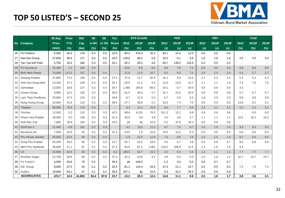#### **TOP 50 LISTED'S – SECOND 25**



|    |                          | 30-Aug       | <b>Price</b> | <b>Mkt</b> | Wt    | Wt     | For                      |         | <b>EPS Growth</b> |                          |        | <b>PER</b> |       |      | <b>PBV</b> |       |                          | Yield                    |        |
|----|--------------------------|--------------|--------------|------------|-------|--------|--------------------------|---------|-------------------|--------------------------|--------|------------|-------|------|------------|-------|--------------------------|--------------------------|--------|
|    | No Company               | <b>Price</b> | <b>YTD</b>   | Cap        | in MC | in VNI | <b>Room</b>              | 2012    | 2013F             | 2014F                    | 2012   | 2013F      | 2014F | 2012 | 2013F      | 2014F | 2012                     | 2013F                    | 2014F  |
|    |                          | (VND)        | (%)          | (Sm)       | (%)   | $(\%)$ | (%)                      | (%)     | $(\%)$            | (%)                      | (x)    | (x)        | (x)   | (x)  | (x)        | (x)   | $(\%)$                   | (%)                      | $(\%)$ |
| 26 | <b>PV Finance</b>        | 6,300        | $-25.0$      | 179        | 0.4   | 0.5    | 15.0                     | $-90.4$ | 476.3             | 20.2                     | 83.1   | 14.4       | 12.0  | 0.6  | 0.6        | 0.6   | $\blacksquare$           |                          |        |
| 27 | Hoa Sen Group            | 37,600       | 95.8         | 171        | 0.4   | 0.5    | 16.0                     | 129.8   | 68.3              | 5.9                      | 10.3   | 6.1        | 5.8   | 1.8  | 1.6        | 1.6   | 4.0                      | 4.0                      | 4.0    |
| 28 | Tan Tao Ind'l Park       | 5,700        | 33.4         | 166        | 0.4   | 0.5    | 32.1                     | $-55.2$ | $-39.3$           | 4.6                      | 84.7   | 139.5      | 133.4 | 0.4  | 0.5        | 0.5   | $\blacksquare$           | $\blacksquare$           |        |
| 29 | PV Insurance             | 15,300       | 1.3          | 164        | 0.4   |        | $\overline{\phantom{a}}$ | $-16.6$ | 9.8               | 9.0                      | 8.6    | 7.8        | 7.2   | 0.6  | 0.6        | 0.6   | 9.8                      | 9.8                      | 9.8    |
| 30 | <b>Binh Minh Plastic</b> | 73,000       | 113.3        | 157        | 0.4   | 0.4    | $\sim$                   | 21.9    | 11.0              | 10.7                     | 9.2    | 8.3        | 7.5   | 2.0  | 2.5        | 2.5   | 5.5                      | 2.7                      | 2.7    |
| 31 | Danang Rubber            | 37,900       | 77.0         | 149        | 0.4   | 0.4    | 27.4                     | 57.9    | 11.7              | $-32.5$                  | 10.1   | 9.0        | 13.4  | 2.2  | 2.3        | 2.2   | 5.3                      | 5.3                      | 5.3    |
| 32 | Vinh Son-Song Hinh       | 13,100       | 27.2         | 128        | 0.3   | 0.4    | 25.1                     | $-28.9$ | $-11.2$           | 2.6                      | 11.5   | 13.0       | 12.7  | 1.1  | 1.1        | 1.0   | 7.6                      | 7.6                      | 7.6    |
| 33 | Gemadept                 | 23,500       | 29.8         | 127        | 0.3   | 0.4    | 29.7                     | 1,465   | 260.8             | $-66.6$                  | 24.1   | 6.7        | 20.0  | 0.6  | 0.6        | 0.6   | 4.3                      | $\sim$                   |        |
| 34 | Ocean Group              | 8,800        | $-12.0$      | 125        | 0.3   | 0.4    | 39.3                     | $-51.0$ | 46.4              | 5.7                      | 31.7   | 21.6       | 20.5  | 0.8  | 0.8        | 0.8   | 5.7                      | 5.7                      | 5.7    |
| 35 | Lam Thao Fertilizers     | 33,800       | 47.5         | 124        | 0.3   |        | 44.8                     | $-8.7$  | 21.6              | 5.0                      | 6.7    | 5.5        | 5.2   | 1.8  | 2.0        | 2.0   | 8.9                      | 8.9                      | 8.9    |
| 36 | <b>Hung Vuong Group</b>  | 22,000       | 41.6         | 123        | 0.3   | 0.3    | 38.5                     | $-37.7$ | 36.8              | 5.1                      | 10.0   | 7.3        | 7.0   | 0.8  | 0.9        | 0.9   | 13.6                     | 9.1                      | 9.1    |
| 37 | Tifoplast                | 58,000       | 70.6         | 119        | 0.3   |        | $\overline{\phantom{a}}$ | 8.3     | 12.4              | 15.6                     | 8.6    | 7.7        | 6.6   | 2.3  | 2.1        | 2.1   | 5.2                      | 5.2                      | 5.2    |
| 38 | Pomina                   | 12,500       | $-2.3$       | 110        | 0.3   | 0.3    | 42.5                     | $-98.9$ | 4,131             | 76.2                     | 511.2  | 12.1       | 6.9   | 0.9  | 0.6        | 0.6   | $\overline{\phantom{a}}$ | 8.0                      | 8.0    |
| 39 | Phuoc Hoa Rubber         | 29,500       | 5.0          | 109        | 0.3   | 0.3    | 31.3                     | $-26.9$ | 3.9               | 3.8                      | 4.0    | 3.8        | 3.7   | 1.1  | 1.1        | 1.1   | 10.2                     | 10.2                     | 10.2   |
| 40 | Kinh Bac City            | 7,600        | 28.8         | 104        | 0.2   | 0.3    | 25.5                     | ptl     | Itp               | 10.0                     | $-5.2$ | 37.6       | 34.2  | 0.6  | 0.6        | 0.6   | $\overline{\phantom{a}}$ | $\sim$                   |        |
| 41 | <b>HCM Sec's</b>         | 21,400       | $-0.9$       | 102        | 0.2   | 0.3    | $\sim$                   | 4.2     | 16.2              | 11.3                     | 8.7    | 7.5        | 6.7   | 1.0  | 1.0        | 1.0   | 9.3                      | 9.3                      | 9.3    |
| 42 | <b>Becamex IJC</b>       | 7,000        | $-23.9$      | 91         | 0.2   | 0.3    | 41.3                     | $-43.5$ | 1.9               | 10.0                     | 10.5   | 10.3       | 9.3   | 0.6  | 0.6        | 0.6   | 8.6                      | 8.6                      | 8.6    |
| 43 | Phu Nhuan Jewelry        | 26,500       | $-23.4$      | 90         | 0.2   | 0.3    | $\overline{\phantom{a}}$ | $-1.0$  | $-12.5$           | 12.8                     | 7.5    | 8.6        | 7.6   | 1.5  | 1.5        | 1.4   | 8.7                      | 9.4                      | 9.4    |
| 44 | Dong Phu Rubber          | 44,300       | $-18.0$      | 90         | 0.2   | 0.3    | 15.7                     | $-32.7$ | $-24.2$           | 18.5                     | 3.5    | 4.7        | 3.9   | 0.9  | 0.8        | 0.7   | 9.0                      | 6.8                      | 6.8    |
| 45 | Minh Phu Seafoods        | 26,500       | $-11.1$      | 87         | 0.2   | 0.2    | 37.3                     | $-93.9$ | $-67.2$           | 1,462                    | 110.2  | 335.9      | 21.5  | 1.4  | 1.6        | 1.6   | 9.4                      | $\overline{\phantom{a}}$ |        |
| 46 | C <sub>II</sub>          | 15,500       | $-33.5$      | 83         | 0.2   | 0.2    | 0.2                      | 168.5   | $-34.7$           | 15.2                     | 4.2    | 6.4        | 5.6   | 1.2  | 1.1        | 1.1   | 7.7                      | 7.7                      | 7.7    |
| 47 | <b>Bourbon Sugar</b>     | 12,700       | $-20.6$      | 80         | 0.2   | 0.2    | 37.3                     | $-32.3$ | $-10.8$           | 9.1                      | 4.9    | 5.5        | 5.0   | 1.0  | 1.0        | 1.0   | 15.7                     | 15.7                     | 15.7   |
| 48 | PV Const'n               | 4,000        | $-28.6$      | 76         | 0.2   |        | 39.3                     | ptl     | $-100.0$          | $\overline{\phantom{a}}$ | $-1.2$ | 0.0        | 0.0   | 0.6  | 0.7        | 0.7   | $\overline{\phantom{a}}$ |                          |        |
|    | 49 DIC Group             | 8,000        | $-37.5$      | 54         | 0.1   | 0.2    | 20.4                     | $-81.1$ | 124.4             | 43.9                     | 47.3   | 21.1       | 14.7  | 0.5  | 0.5        | 0.5   | 7.5                      | 7.5                      | 7.5    |
| 50 | Sudico                   | 10,000       | $-54.1$      | 47         | 0.1   | 0.1    | 30.9                     | 267.1   | ltp               | 10.0                     | $-3.3$ | 32.2       | 29.3  | 0.6  | 0.6        | 0.6   | $\overline{\phantom{a}}$ |                          |        |
|    | <b>AGGREGATES</b>        | 472.7        | 14.3         | 41,803     | 83.4  | 87.8   | 23.7                     | $-13.3$ | 28.3              | 12.4                     | 14.6   | 11.1       | 9.9   | 2.0  | 1.8        | $1.7$ | 3.8                      | 3.6                      | 3.1    |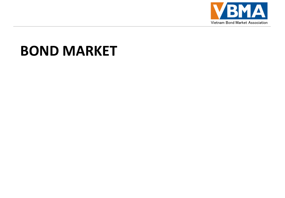

# **BOND MARKET**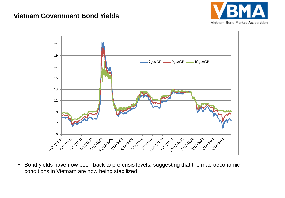#### **Vietnam Government Bond Yields**





• Bond yields have now been back to pre-crisis levels, suggesting that the macroeconomic conditions in Vietnam are now being stabilized.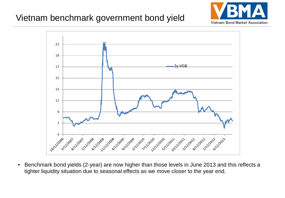## Vietnam benchmark government bond yield





• Benchmark bond yields (2-year) are now higher than those levels in June 2013 and this reflects a tighter liquidity situation due to seasonal effects as we move closer to the year end.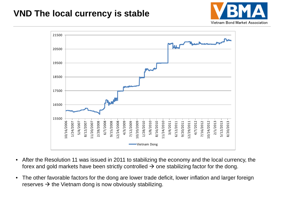## **VND The local currency is stable**





- After the Resolution 11 was issued in 2011 to stabilizing the economy and the local currency, the forex and gold markets have been strictly controlled  $\rightarrow$  one stabilizing factor for the dong.
- The other favorable factors for the dong are lower trade deficit, lower inflation and larger foreign reserves  $\rightarrow$  the Vietnam dong is now obviously stabilizing.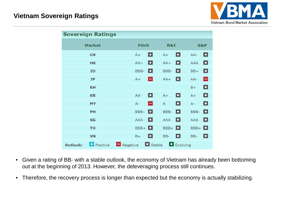

|                 | <b>Sovereign Ratings</b> |                         |              |               |                |          |                |   |
|-----------------|--------------------------|-------------------------|--------------|---------------|----------------|----------|----------------|---|
|                 | <b>Market</b>            |                         | <b>Fitch</b> |               | R&I            |          | <b>S&amp;P</b> |   |
|                 | <b>CN</b>                |                         | $A+$         | o             | $A+$           | o        | AA-            | ◘ |
|                 | <b>HK</b>                |                         | $AA+$        | o             | $AA+$          | о        | <b>AAA</b>     | o |
|                 | <b>ID</b>                |                         | BBB-         | o             | BBB-           | o        | $BB+$          | ▫ |
|                 | <b>JP</b>                |                         | $A+$         | н             | $AA+$          | o        | AA-            | н |
|                 | <b>KH</b>                |                         |              |               |                |          | $B+$           | o |
|                 | <b>KR</b>                |                         | AA-          | o             | $A+$           | o        | $A+$           | ▫ |
|                 | <b>MY</b>                |                         | $A -$        | н             | $\overline{A}$ | o        | $A -$          | o |
|                 | PH                       |                         | BBB-         | o             | BBB-           | o        | BBB-           | o |
|                 | <b>SG</b>                |                         | <b>AAA</b>   | o             | <b>AAA</b>     | о        | <b>AAA</b>     | o |
|                 | <b>TH</b>                |                         | $BBB + \Box$ |               | $BBB + \Box$   |          | $BBB + \Box$   |   |
|                 | <b>VN</b>                |                         | $B+$         | o             | BB-            | o        | BB-            | o |
| <b>Outlook:</b> | <b>F</b> Positive        | $\blacksquare$ Negative |              | $\Box$ Stable |                | Evolving |                |   |

- Given a rating of BB- with a stable outlook, the economy of Vietnam has already been bottoming out at the beginning of 2013. However, the deleveraging process still continues.
- Therefore, the recovery process is longer than expected but the economy is actually stabilizing.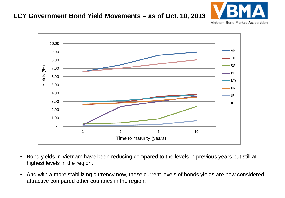#### **LCY Government Bond Yield Movements – as of Oct. 10, 2013**



Vietnam Bond Market Association



- Bond yields in Vietnam have been reducing compared to the levels in previous years but still at highest levels in the region.
- And with a more stabilizing currency now, these current levels of bonds yields are now considered attractive compared other countries in the region.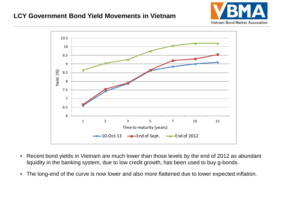#### **LCY Government Bond Yield Movements in Vietnam**





- Recent bond yields in Vietnam are much lower than those levels by the end of 2012 as abundant liquidity in the banking system, due to low credit growth, has been used to buy g-bonds.
- The long-end of the curve is now lower and also more flattened due to lower expected inflation.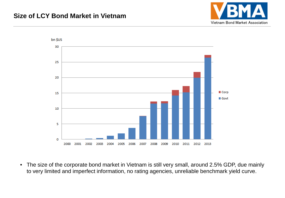#### **Size of LCY Bond Market in Vietnam**





• The size of the corporate bond market in Vietnam is still very small, around 2.5% GDP, due mainly to very limited and imperfect information, no rating agencies, unreliable benchmark yield curve.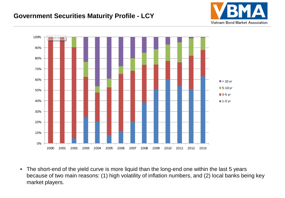#### **Government Securities Maturity Profile - LCY**





• The short-end of the yield curve is more liquid than the long-end one within the last 5 years because of two main reasons: (1) high volatility of inflation numbers, and (2) local banks being key market players.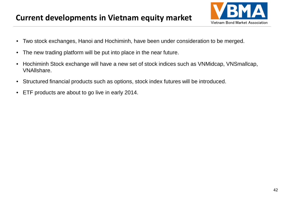#### **Current developments in Vietnam equity market**



- Two stock exchanges, Hanoi and Hochiminh, have been under consideration to be merged.
- The new trading platform will be put into place in the near future.
- Hochiminh Stock exchange will have a new set of stock indices such as VNMidcap, VNSmallcap, VNAllshare.
- Structured financial products such as options, stock index futures will be introduced.
- ETF products are about to go live in early 2014.